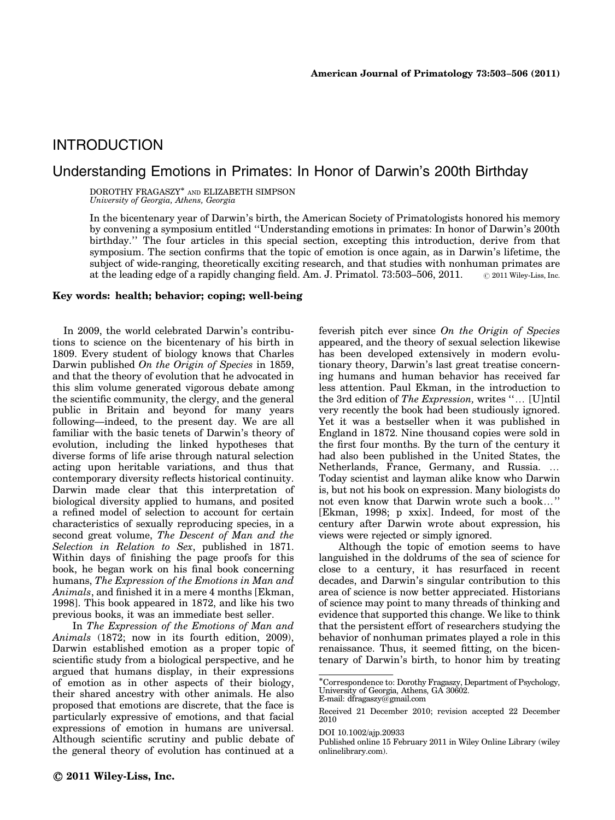# INTRODUCTION

## Understanding Emotions in Primates: In Honor of Darwin's 200th Birthday

DOROTHY FRAGASZY<sup>\*</sup> AND ELIZABETH SIMPSON University of Georgia, Athens, Georgia

In the bicentenary year of Darwin's birth, the American Society of Primatologists honored his memory by convening a symposium entitled ''Understanding emotions in primates: In honor of Darwin's 200th birthday." The four articles in this special section, excepting this introduction, derive from that symposium. The section confirms that the topic of emotion is once again, as in Darwin's lifetime, the subject of wide-ranging, theoretically exciting research, and that studies with nonhuman primates are at the leading edge of a rapidly changing field. Am. J. Primatol.  $73:503-506$ ,  $2011$ .  $\circ$  2011 Wiley-Liss, Inc.

### Key words: health; behavior; coping; well-being

In 2009, the world celebrated Darwin's contributions to science on the bicentenary of his birth in 1809. Every student of biology knows that Charles Darwin published On the Origin of Species in 1859, and that the theory of evolution that he advocated in this slim volume generated vigorous debate among the scientific community, the clergy, and the general public in Britain and beyond for many years following—indeed, to the present day. We are all familiar with the basic tenets of Darwin's theory of evolution, including the linked hypotheses that diverse forms of life arise through natural selection acting upon heritable variations, and thus that contemporary diversity reflects historical continuity. Darwin made clear that this interpretation of biological diversity applied to humans, and posited a refined model of selection to account for certain characteristics of sexually reproducing species, in a second great volume, The Descent of Man and the Selection in Relation to Sex, published in 1871. Within days of finishing the page proofs for this book, he began work on his final book concerning humans, The Expression of the Emotions in Man and Animals, and finished it in a mere 4 months [Ekman, 1998]. This book appeared in 1872, and like his two previous books, it was an immediate best seller.

In The Expression of the Emotions of Man and Animals (1872; now in its fourth edition, 2009), Darwin established emotion as a proper topic of scientific study from a biological perspective, and he argued that humans display, in their expressions of emotion as in other aspects of their biology, their shared ancestry with other animals. He also proposed that emotions are discrete, that the face is particularly expressive of emotions, and that facial expressions of emotion in humans are universal. Although scientific scrutiny and public debate of the general theory of evolution has continued at a feverish pitch ever since On the Origin of Species appeared, and the theory of sexual selection likewise has been developed extensively in modern evolutionary theory, Darwin's last great treatise concerning humans and human behavior has received far less attention. Paul Ekman, in the introduction to the 3rd edition of The Expression, writes "... [U]ntil very recently the book had been studiously ignored. Yet it was a bestseller when it was published in England in 1872. Nine thousand copies were sold in the first four months. By the turn of the century it had also been published in the United States, the Netherlands, France, Germany, and Russia... Today scientist and layman alike know who Darwin is, but not his book on expression. Many biologists do not even know that Darwin wrote such a book..." [Ekman, 1998; p xxix]. Indeed, for most of the century after Darwin wrote about expression, his views were rejected or simply ignored.

Although the topic of emotion seems to have languished in the doldrums of the sea of science for close to a century, it has resurfaced in recent decades, and Darwin's singular contribution to this area of science is now better appreciated. Historians of science may point to many threads of thinking and evidence that supported this change. We like to think that the persistent effort of researchers studying the behavior of nonhuman primates played a role in this renaissance. Thus, it seemed fitting, on the bicentenary of Darwin's birth, to honor him by treating

<sup>-</sup>Correspondence to: Dorothy Fragaszy, Department of Psychology, University of Georgia, Athens, GA 30602.

E-mail: dfragaszy@gmail.com

Received 21 December 2010; revision accepted 22 December 2010

DOI 10.1002/ajp.20933

Published online 15 February 2011 in Wiley Online Library (wiley onlinelibrary.com).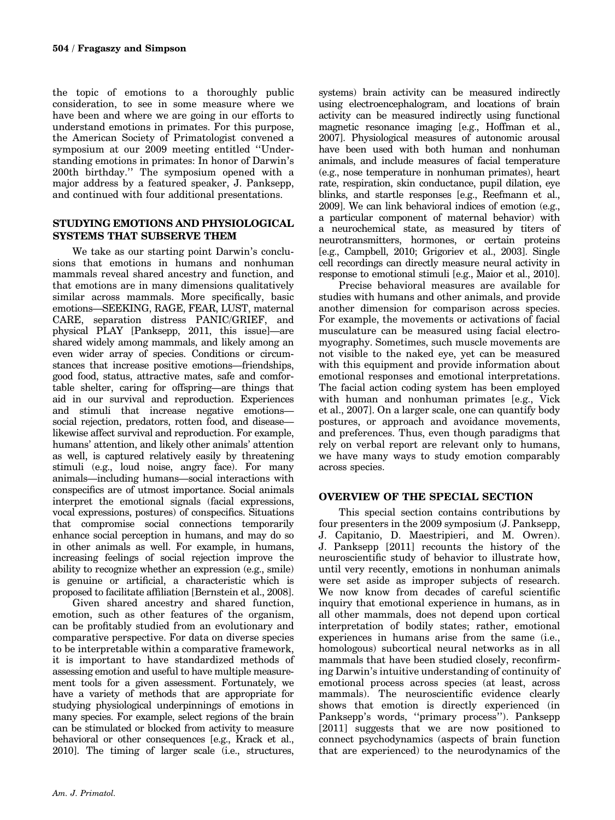the topic of emotions to a thoroughly public consideration, to see in some measure where we have been and where we are going in our efforts to understand emotions in primates. For this purpose, the American Society of Primatologist convened a symposium at our 2009 meeting entitled ''Understanding emotions in primates: In honor of Darwin's 200th birthday.'' The symposium opened with a major address by a featured speaker, J. Panksepp, and continued with four additional presentations.

### STUDYING EMOTIONS AND PHYSIOLOGICAL SYSTEMS THAT SUBSERVE THEM

We take as our starting point Darwin's conclusions that emotions in humans and nonhuman mammals reveal shared ancestry and function, and that emotions are in many dimensions qualitatively similar across mammals. More specifically, basic emotions—SEEKING, RAGE, FEAR, LUST, maternal CARE, separation distress PANIC/GRIEF, and physical PLAY [Panksepp, 2011, this issue]—are shared widely among mammals, and likely among an even wider array of species. Conditions or circumstances that increase positive emotions—friendships, good food, status, attractive mates, safe and comfortable shelter, caring for offspring—are things that aid in our survival and reproduction. Experiences and stimuli that increase negative emotions social rejection, predators, rotten food, and disease likewise affect survival and reproduction. For example, humans' attention, and likely other animals' attention as well, is captured relatively easily by threatening stimuli (e.g., loud noise, angry face). For many animals—including humans—social interactions with conspecifics are of utmost importance. Social animals interpret the emotional signals (facial expressions, vocal expressions, postures) of conspecifics. Situations that compromise social connections temporarily enhance social perception in humans, and may do so in other animals as well. For example, in humans, increasing feelings of social rejection improve the ability to recognize whether an expression (e.g., smile) is genuine or artificial, a characteristic which is proposed to facilitate affiliation [Bernstein et al., 2008].

Given shared ancestry and shared function, emotion, such as other features of the organism, can be profitably studied from an evolutionary and comparative perspective. For data on diverse species to be interpretable within a comparative framework, it is important to have standardized methods of assessing emotion and useful to have multiple measurement tools for a given assessment. Fortunately, we have a variety of methods that are appropriate for studying physiological underpinnings of emotions in many species. For example, select regions of the brain can be stimulated or blocked from activity to measure behavioral or other consequences [e.g., Krack et al., 2010]. The timing of larger scale (i.e., structures,

systems) brain activity can be measured indirectly using electroencephalogram, and locations of brain activity can be measured indirectly using functional magnetic resonance imaging [e.g., Hoffman et al., 2007]. Physiological measures of autonomic arousal have been used with both human and nonhuman animals, and include measures of facial temperature (e.g., nose temperature in nonhuman primates), heart rate, respiration, skin conductance, pupil dilation, eye blinks, and startle responses [e.g., Reefmann et al., 2009]. We can link behavioral indices of emotion (e.g., a particular component of maternal behavior) with a neurochemical state, as measured by titers of neurotransmitters, hormones, or certain proteins [e.g., Campbell, 2010; Grigoriev et al., 2003]. Single cell recordings can directly measure neural activity in response to emotional stimuli [e.g., Maior et al., 2010].

Precise behavioral measures are available for studies with humans and other animals, and provide another dimension for comparison across species. For example, the movements or activations of facial musculature can be measured using facial electromyography. Sometimes, such muscle movements are not visible to the naked eye, yet can be measured with this equipment and provide information about emotional responses and emotional interpretations. The facial action coding system has been employed with human and nonhuman primates [e.g., Vick et al., 2007]. On a larger scale, one can quantify body postures, or approach and avoidance movements, and preferences. Thus, even though paradigms that rely on verbal report are relevant only to humans, we have many ways to study emotion comparably across species.

## OVERVIEW OF THE SPECIAL SECTION

This special section contains contributions by four presenters in the 2009 symposium (J. Panksepp, J. Capitanio, D. Maestripieri, and M. Owren). J. Panksepp [2011] recounts the history of the neuroscientific study of behavior to illustrate how, until very recently, emotions in nonhuman animals were set aside as improper subjects of research. We now know from decades of careful scientific inquiry that emotional experience in humans, as in all other mammals, does not depend upon cortical interpretation of bodily states; rather, emotional experiences in humans arise from the same (i.e., homologous) subcortical neural networks as in all mammals that have been studied closely, reconfirming Darwin's intuitive understanding of continuity of emotional process across species (at least, across mammals). The neuroscientific evidence clearly shows that emotion is directly experienced (in Panksepp's words, ''primary process''). Panksepp [2011] suggests that we are now positioned to connect psychodynamics (aspects of brain function that are experienced) to the neurodynamics of the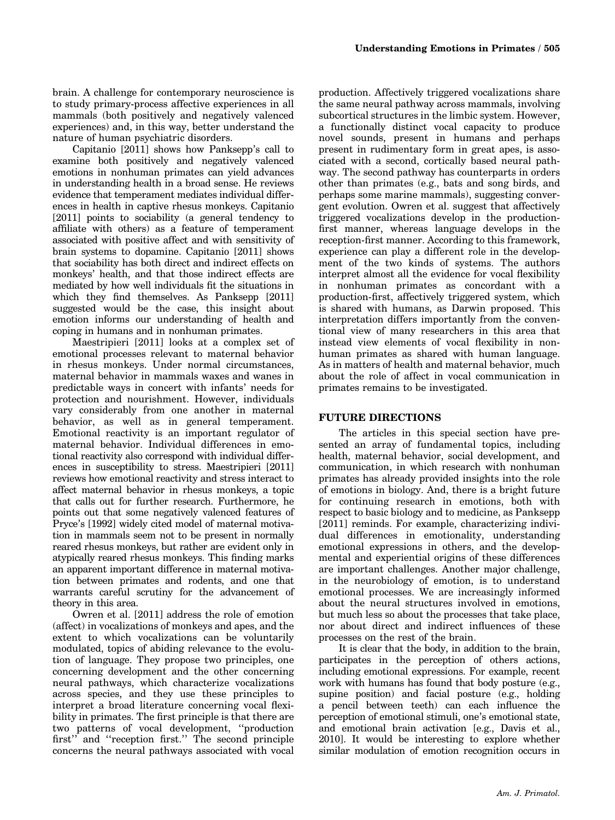brain. A challenge for contemporary neuroscience is to study primary-process affective experiences in all mammals (both positively and negatively valenced experiences) and, in this way, better understand the nature of human psychiatric disorders.

Capitanio [2011] shows how Panksepp's call to examine both positively and negatively valenced emotions in nonhuman primates can yield advances in understanding health in a broad sense. He reviews evidence that temperament mediates individual differences in health in captive rhesus monkeys. Capitanio [2011] points to sociability (a general tendency to affiliate with others) as a feature of temperament associated with positive affect and with sensitivity of brain systems to dopamine. Capitanio [2011] shows that sociability has both direct and indirect effects on monkeys' health, and that those indirect effects are mediated by how well individuals fit the situations in which they find themselves. As Panksepp [2011] suggested would be the case, this insight about emotion informs our understanding of health and coping in humans and in nonhuman primates.

Maestripieri [2011] looks at a complex set of emotional processes relevant to maternal behavior in rhesus monkeys. Under normal circumstances, maternal behavior in mammals waxes and wanes in predictable ways in concert with infants' needs for protection and nourishment. However, individuals vary considerably from one another in maternal behavior, as well as in general temperament. Emotional reactivity is an important regulator of maternal behavior. Individual differences in emotional reactivity also correspond with individual differences in susceptibility to stress. Maestripieri [2011] reviews how emotional reactivity and stress interact to affect maternal behavior in rhesus monkeys, a topic that calls out for further research. Furthermore, he points out that some negatively valenced features of Pryce's [1992] widely cited model of maternal motivation in mammals seem not to be present in normally reared rhesus monkeys, but rather are evident only in atypically reared rhesus monkeys. This finding marks an apparent important difference in maternal motivation between primates and rodents, and one that warrants careful scrutiny for the advancement of theory in this area.

Owren et al. [2011] address the role of emotion (affect) in vocalizations of monkeys and apes, and the extent to which vocalizations can be voluntarily modulated, topics of abiding relevance to the evolution of language. They propose two principles, one concerning development and the other concerning neural pathways, which characterize vocalizations across species, and they use these principles to interpret a broad literature concerning vocal flexibility in primates. The first principle is that there are two patterns of vocal development, ''production first'' and ''reception first.'' The second principle concerns the neural pathways associated with vocal

production. Affectively triggered vocalizations share the same neural pathway across mammals, involving subcortical structures in the limbic system. However, a functionally distinct vocal capacity to produce novel sounds, present in humans and perhaps present in rudimentary form in great apes, is associated with a second, cortically based neural pathway. The second pathway has counterparts in orders other than primates (e.g., bats and song birds, and perhaps some marine mammals), suggesting convergent evolution. Owren et al. suggest that affectively triggered vocalizations develop in the productionfirst manner, whereas language develops in the reception-first manner. According to this framework, experience can play a different role in the development of the two kinds of systems. The authors interpret almost all the evidence for vocal flexibility in nonhuman primates as concordant with a production-first, affectively triggered system, which is shared with humans, as Darwin proposed. This interpretation differs importantly from the conventional view of many researchers in this area that instead view elements of vocal flexibility in nonhuman primates as shared with human language. As in matters of health and maternal behavior, much about the role of affect in vocal communication in primates remains to be investigated.

## FUTURE DIRECTIONS

The articles in this special section have presented an array of fundamental topics, including health, maternal behavior, social development, and communication, in which research with nonhuman primates has already provided insights into the role of emotions in biology. And, there is a bright future for continuing research in emotions, both with respect to basic biology and to medicine, as Panksepp [2011] reminds. For example, characterizing individual differences in emotionality, understanding emotional expressions in others, and the developmental and experiential origins of these differences are important challenges. Another major challenge, in the neurobiology of emotion, is to understand emotional processes. We are increasingly informed about the neural structures involved in emotions, but much less so about the processes that take place, nor about direct and indirect influences of these processes on the rest of the brain.

It is clear that the body, in addition to the brain, participates in the perception of others actions, including emotional expressions. For example, recent work with humans has found that body posture (e.g., supine position) and facial posture (e.g., holding a pencil between teeth) can each influence the perception of emotional stimuli, one's emotional state, and emotional brain activation [e.g., Davis et al., 2010]. It would be interesting to explore whether similar modulation of emotion recognition occurs in